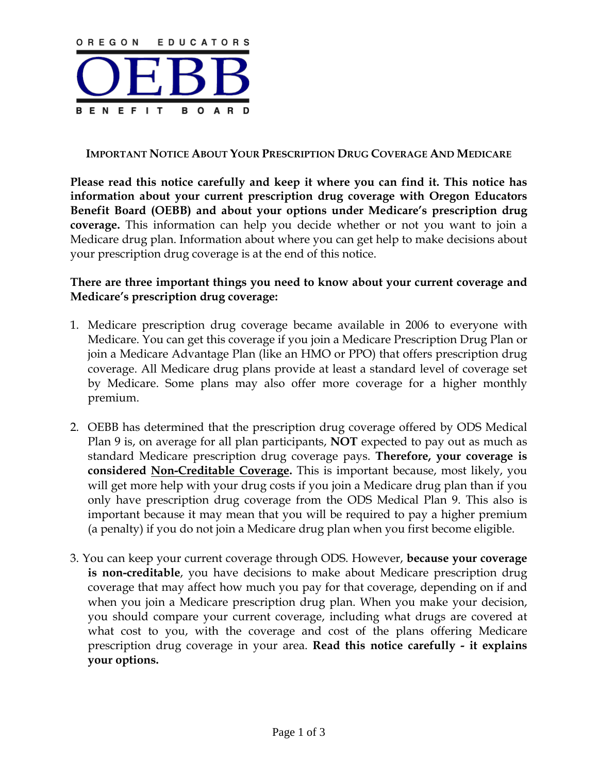

### **IMPORTANT NOTICE ABOUT YOUR PRESCRIPTION DRUG COVERAGE AND MEDICARE**

**Please read this notice carefully and keep it where you can find it. This notice has information about your current prescription drug coverage with Oregon Educators Benefit Board (OEBB) and about your options under Medicare's prescription drug coverage.** This information can help you decide whether or not you want to join a Medicare drug plan. Information about where you can get help to make decisions about your prescription drug coverage is at the end of this notice.

### **There are three important things you need to know about your current coverage and Medicare's prescription drug coverage:**

- 1. Medicare prescription drug coverage became available in 2006 to everyone with Medicare. You can get this coverage if you join a Medicare Prescription Drug Plan or join a Medicare Advantage Plan (like an HMO or PPO) that offers prescription drug coverage. All Medicare drug plans provide at least a standard level of coverage set by Medicare. Some plans may also offer more coverage for a higher monthly premium.
- 2. OEBB has determined that the prescription drug coverage offered by ODS Medical Plan 9 is, on average for all plan participants, **NOT** expected to pay out as much as standard Medicare prescription drug coverage pays. **Therefore, your coverage is considered Non-Creditable Coverage.** This is important because, most likely, you will get more help with your drug costs if you join a Medicare drug plan than if you only have prescription drug coverage from the ODS Medical Plan 9. This also is important because it may mean that you will be required to pay a higher premium (a penalty) if you do not join a Medicare drug plan when you first become eligible.
- 3. You can keep your current coverage through ODS. However, **because your coverage is non-creditable**, you have decisions to make about Medicare prescription drug coverage that may affect how much you pay for that coverage, depending on if and when you join a Medicare prescription drug plan. When you make your decision, you should compare your current coverage, including what drugs are covered at what cost to you, with the coverage and cost of the plans offering Medicare prescription drug coverage in your area. **Read this notice carefully - it explains your options.**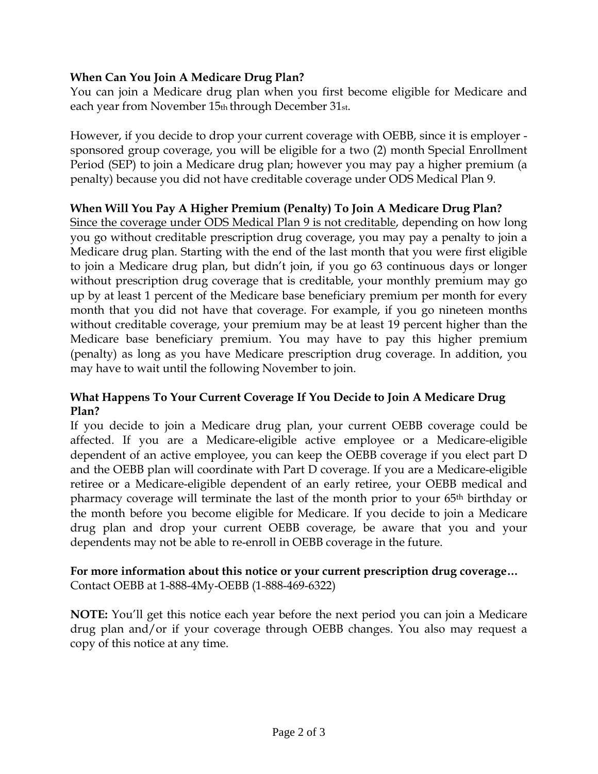# **When Can You Join A Medicare Drug Plan?**

You can join a Medicare drug plan when you first become eligible for Medicare and each year from November 15th through December 31st.

However, if you decide to drop your current coverage with OEBB, since it is employer sponsored group coverage, you will be eligible for a two (2) month Special Enrollment Period (SEP) to join a Medicare drug plan; however you may pay a higher premium (a penalty) because you did not have creditable coverage under ODS Medical Plan 9.

## **When Will You Pay A Higher Premium (Penalty) To Join A Medicare Drug Plan?**

Since the coverage under ODS Medical Plan 9 is not creditable, depending on how long you go without creditable prescription drug coverage, you may pay a penalty to join a Medicare drug plan. Starting with the end of the last month that you were first eligible to join a Medicare drug plan, but didn't join, if you go 63 continuous days or longer without prescription drug coverage that is creditable, your monthly premium may go up by at least 1 percent of the Medicare base beneficiary premium per month for every month that you did not have that coverage. For example, if you go nineteen months without creditable coverage, your premium may be at least 19 percent higher than the Medicare base beneficiary premium. You may have to pay this higher premium (penalty) as long as you have Medicare prescription drug coverage. In addition, you may have to wait until the following November to join.

## **What Happens To Your Current Coverage If You Decide to Join A Medicare Drug Plan?**

If you decide to join a Medicare drug plan, your current OEBB coverage could be affected. If you are a Medicare-eligible active employee or a Medicare-eligible dependent of an active employee, you can keep the OEBB coverage if you elect part D and the OEBB plan will coordinate with Part D coverage. If you are a Medicare-eligible retiree or a Medicare-eligible dependent of an early retiree, your OEBB medical and pharmacy coverage will terminate the last of the month prior to your 65th birthday or the month before you become eligible for Medicare. If you decide to join a Medicare drug plan and drop your current OEBB coverage, be aware that you and your dependents may not be able to re-enroll in OEBB coverage in the future.

## **For more information about this notice or your current prescription drug coverage…**  Contact OEBB at 1-888-4My-OEBB (1-888-469-6322)

**NOTE:** You'll get this notice each year before the next period you can join a Medicare drug plan and/or if your coverage through OEBB changes. You also may request a copy of this notice at any time.